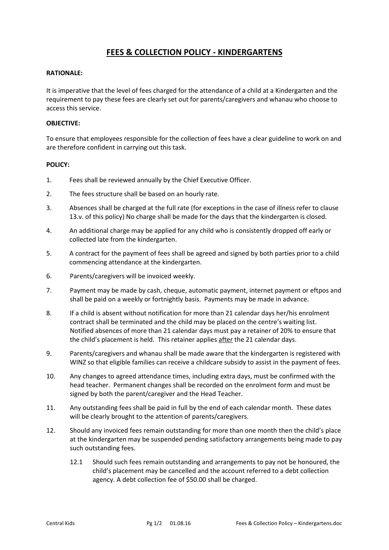# **FEES & COLLECTION POLICY - KINDERGARTENS**

#### **RATIONALE:**

It is imperative that the level of fees charged for the attendance of a child at a Kindergarten and the requirement to pay these fees are clearly set out for parents/caregivers and whanau who choose to access this service.

#### **OBJECTIVE:**

To ensure that employees responsible for the collection of fees have a clear guideline to work on and are therefore confident in carrying out this task.

### **POLICY:**

- 1. Fees shall be reviewed annually by the Chief Executive Officer.
- 2. The fees structure shall be based on an hourly rate.
- 3. Absences shall be charged at the full rate (for exceptions in the case of illness refer to clause 13.v. of this policy) No charge shall be made for the days that the kindergarten is closed.
- 4. An additional charge may be applied for any child who is consistently dropped off early or collected late from the kindergarten.
- 5. A contract for the payment of fees shall be agreed and signed by both parties prior to a child commencing attendance at the kindergarten.
- 6. Parents/caregivers will be invoiced weekly.
- 7. Payment may be made by cash, cheque, automatic payment, internet payment or eftpos and shall be paid on a weekly or fortnightly basis. Payments may be made in advance.
- 8. If a child is absent without notification for more than 21 calendar days her/his enrolment contract shall be terminated and the child may be placed on the centre's waiting list. Notified absences of more than 21 calendar days must pay a retainer of 20% to ensure that the child's placement is held. This retainer applies after the 21 calendar days.
- 9. Parents/caregivers and whanau shall be made aware that the kindergarten is registered with WINZ so that eligible families can receive a childcare subsidy to assist in the payment of fees.
- 10. Any changes to agreed attendance times, including extra days, must be confirmed with the head teacher. Permanent changes shall be recorded on the enrolment form and must be signed by both the parent/caregiver and the Head Teacher.
- 11. Any outstanding fees shall be paid in full by the end of each calendar month. These dates will be clearly brought to the attention of parents/caregivers.
- 12. Should any invoiced fees remain outstanding for more than one month then the child's place at the kindergarten may be suspended pending satisfactory arrangements being made to pay such outstanding fees.
	- 12.1 Should such fees remain outstanding and arrangements to pay not be honoured, the child's placement may be cancelled and the account referred to a debt collection agency. A debt collection fee of \$50.00 shall be charged.